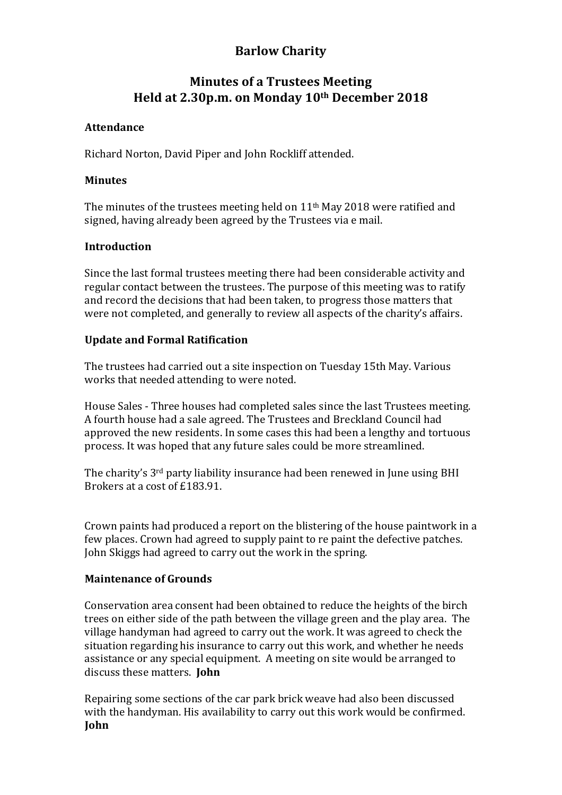# **Barlow Charity**

# **Minutes of a Trustees Meeting Held at 2.30p.m. on Monday 10th December 2018**

# **Attendance**

Richard Norton, David Piper and John Rockliff attended.

## **Minutes**

The minutes of the trustees meeting held on  $11<sup>th</sup>$  May 2018 were ratified and signed, having already been agreed by the Trustees via e mail.

## **Introduction**

Since the last formal trustees meeting there had been considerable activity and regular contact between the trustees. The purpose of this meeting was to ratify and record the decisions that had been taken, to progress those matters that were not completed, and generally to review all aspects of the charity's affairs.

## **Update and Formal Ratification**

The trustees had carried out a site inspection on Tuesday 15th May. Various works that needed attending to were noted.

House Sales - Three houses had completed sales since the last Trustees meeting. A fourth house had a sale agreed. The Trustees and Breckland Council had approved the new residents. In some cases this had been a lengthy and tortuous process. It was hoped that any future sales could be more streamlined.

The charity's 3<sup>rd</sup> party liability insurance had been renewed in June using BHI Brokers at a cost of £183.91.

Crown paints had produced a report on the blistering of the house paintwork in a few places. Crown had agreed to supply paint to re paint the defective patches. John Skiggs had agreed to carry out the work in the spring.

# **Maintenance of Grounds**

Conservation area consent had been obtained to reduce the heights of the birch trees on either side of the path between the village green and the play area. The village handyman had agreed to carry out the work. It was agreed to check the situation regarding his insurance to carry out this work, and whether he needs assistance or any special equipment. A meeting on site would be arranged to discuss these matters. **John** 

Repairing some sections of the car park brick weave had also been discussed with the handyman. His availability to carry out this work would be confirmed. **John**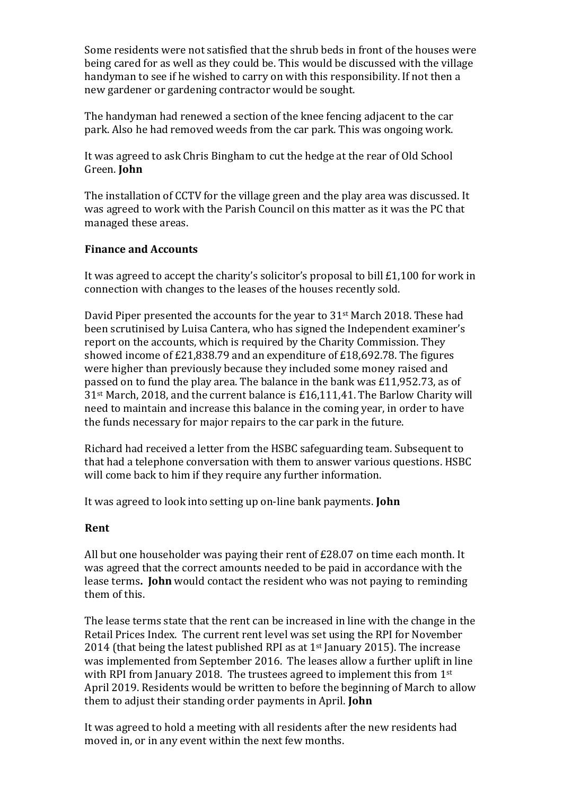Some residents were not satisfied that the shrub beds in front of the houses were being cared for as well as they could be. This would be discussed with the village handyman to see if he wished to carry on with this responsibility. If not then a new gardener or gardening contractor would be sought.

The handyman had renewed a section of the knee fencing adjacent to the car park. Also he had removed weeds from the car park. This was ongoing work.

It was agreed to ask Chris Bingham to cut the hedge at the rear of Old School Green. **John**

The installation of CCTV for the village green and the play area was discussed. It was agreed to work with the Parish Council on this matter as it was the PC that managed these areas.

## **Finance and Accounts**

It was agreed to accept the charity's solicitor's proposal to bill  $£1,100$  for work in connection with changes to the leases of the houses recently sold.

David Piper presented the accounts for the year to  $31<sup>st</sup>$  March 2018. These had been scrutinised by Luisa Cantera, who has signed the Independent examiner's report on the accounts, which is required by the Charity Commission. They showed income of  $E21,838.79$  and an expenditure of  $E18,692.78$ . The figures were higher than previously because they included some money raised and passed on to fund the play area. The balance in the bank was  $£11,952.73$ , as of  $31<sup>st</sup>$  March, 2018, and the current balance is £16,111,41. The Barlow Charity will need to maintain and increase this balance in the coming vear, in order to have the funds necessary for major repairs to the car park in the future.

Richard had received a letter from the HSBC safeguarding team. Subsequent to that had a telephone conversation with them to answer various questions. HSBC will come back to him if they require any further information.

It was agreed to look into setting up on-line bank payments. **John** 

## **Rent**

All but one householder was paying their rent of  $£28.07$  on time each month. It was agreed that the correct amounts needed to be paid in accordance with the lease terms. **John** would contact the resident who was not paying to reminding them of this.

The lease terms state that the rent can be increased in line with the change in the Retail Prices Index. The current rent level was set using the RPI for November 2014 (that being the latest published RPI as at  $1<sup>st</sup>$  January 2015). The increase was implemented from September 2016. The leases allow a further uplift in line with RPI from January 2018. The trustees agreed to implement this from  $1<sup>st</sup>$ April 2019. Residents would be written to before the beginning of March to allow them to adjust their standing order payments in April. **John** 

It was agreed to hold a meeting with all residents after the new residents had moved in, or in any event within the next few months.